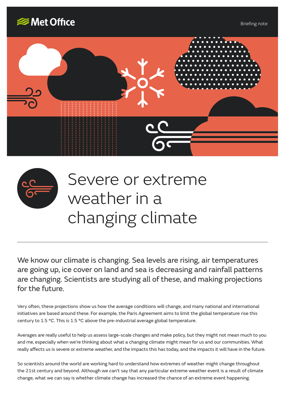





## Severe or extreme weather in a changing climate

We know our climate is changing. Sea levels are rising, air temperatures are going up, ice cover on land and sea is decreasing and rainfall patterns are changing. Scientists are studying all of these, and making projections for the future.

Very often, these projections show us how the average conditions will change, and many national and international initiatives are based around these. For example, the Paris Agreement aims to limit the global temperature rise this century to 1.5 °C. This is 1.5 °C above the pre-industrial average global temperature.

Averages are really useful to help us assess large-scale changes and make policy, but they might not mean much to you and me, especially when we're thinking about what a changing climate might mean for us and our communities. What really affects us is severe or extreme weather, and the impacts this has today, and the impacts it will have in the future.

So scientists around the world are working hard to understand how extremes of weather might change throughout the 21st century and beyond. Although we can't say that any particular extreme weather event is a result of climate change, what we can say is whether climate change has increased the chance of an extreme event happening.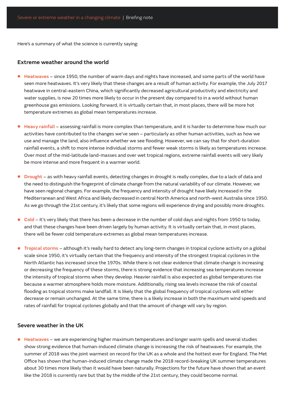Here's a summary of what the science is currently saying:

## **Extreme weather around the world**

- **• Heatwaves** since 1950, the number of warm days and nights have increased, and some parts of the world have seen more heatwaves. It's very likely that these changes are a result of human activity. For example, the July 2017 heatwave in central-eastern China, which significantly decreased agricultural productivity and electricity and water supplies, is now 20 times more likely to occur in the present day compared to in a world without human greenhouse gas emissions. Looking forward, it is virtually certain that, in most places, there will be more hot temperature extremes as global mean temperatures increase.
- **• Heavy rainfall** assessing rainfall is more complex than temperature, and it is harder to determine how much our activities have contributed to the changes we've seen – particularly as other human activities, such as how we use and manage the land, also influence whether we see flooding. However, we can say that for short-duration rainfall events, a shift to more intense individual storms and fewer weak storms is likely as temperatures increase. Over most of the mid-latitude land-masses and over wet tropical regions, extreme rainfall events will very likely be more intense and more frequent in a warmer world.
- **• Drought** as with heavy rainfall events, detecting changes in drought is really complex, due to a lack of data and the need to distinguish the fingerprint of climate change from the natural variability of our climate. However, we have seen regional changes. For example, the frequency and intensity of drought have likely increased in the Mediterranean and West Africa and likely decreased in central North America and north-west Australia since 1950. As we go through the 21st century, it's likely that some regions will experience drying and possibly more droughts.
- **• Cold** it's very likely that there has been a decrease in the number of cold days and nights from 1950 to today, and that these changes have been driven largely by human activity. It is virtually certain that, in most places, there will be fewer cold temperature extremes as global mean temperatures increase.
- **• Tropical storms** although it's really hard to detect any long-term changes in tropical cyclone activity on a global scale since 1950, it's virtually certain that the frequency and intensity of the strongest tropical cyclones in the North Atlantic has increased since the 1970s. While there is not clear evidence that climate change is increasing or decreasing the frequency of these storms, there is strong evidence that increasing sea temperatures increase the intensity of tropical storms when they develop. Heavier rainfall is also expected as global temperatures rise because a warmer atmosphere holds more moisture. Additionally, rising sea levels increase the risk of coastal flooding as tropical storms make landfall. It is likely that the global frequency of tropical cyclones will either decrease or remain unchanged. At the same time, there is a likely increase in both the maximum wind speeds and rates of rainfall for tropical cyclones globally and that the amount of change will vary by region.

## **Severe weather in the UK**

**• Heatwaves** – we are experiencing higher maximum temperatures and longer warm spells and several studies show strong evidence that human-induced climate change is increasing the risk of heatwaves. For example, the summer of 2018 was the joint warmest on record for the UK as a whole and the hottest ever for England. The Met Office has shown that human-induced climate change made the 2018 record-breaking UK summer temperatures about 30 times more likely than it would have been naturally. Projections for the future have shown that an event like the 2018 is currently rare but that by the middle of the 21st century, they could become normal.